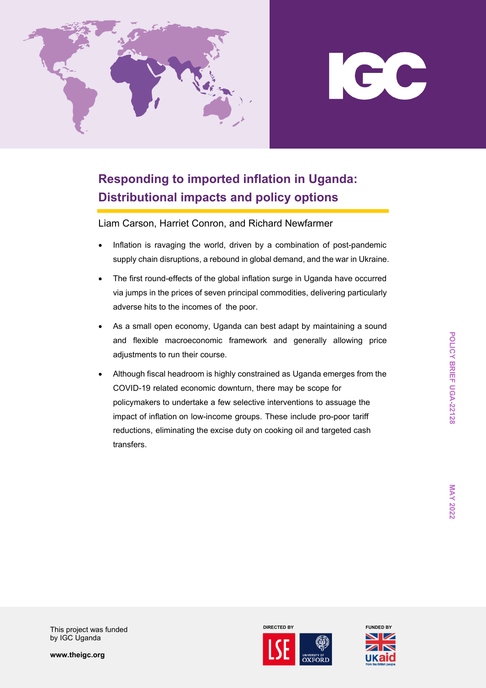

## ICC

## **Responding to imported inflation in Uganda: Distributional impacts and policy options**

Liam Carson, Harriet Conron, and Richard Newfarmer

- Inflation is ravaging the world, driven by a combination of post-pandemic supply chain disruptions, a rebound in global demand, and the war in Ukraine.
- The first round-effects of the global inflation surge in Uganda have occurred via jumps in the prices of seven principal commodities, delivering particularly adverse hits to the incomes of the poor.
- As a small open economy, Uganda can best adapt by maintaining a sound and flexible macroeconomic framework and generally allowing price adjustments to run their course.
- Although fiscal headroom is highly constrained as Uganda emerges from the COVID-19 related economic downturn, there may be scope for policymakers to undertake a few selective interventions to assuage the impact of inflation on low-income groups. These include pro-poor tariff reductions, eliminating the excise duty on cooking oil and targeted cash transfers.

This project was funded by IGC Uganda

**www.theigc.org**



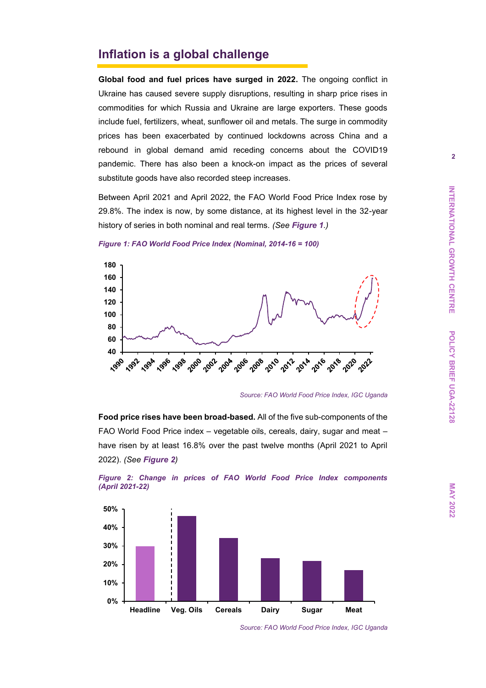## **Inflation is a global challenge**

**Global food and fuel prices have surged in 2022.** The ongoing conflict in Ukraine has caused severe supply disruptions, resulting in sharp price rises in commodities for which Russia and Ukraine are large exporters. These goods include fuel, fertilizers, wheat, sunflower oil and metals. The surge in commodity prices has been exacerbated by continued lockdowns across China and a rebound in global demand amid receding concerns about the COVID19 pandemic. There has also been a knock-on impact as the prices of several substitute goods have also recorded steep increases.

Between April 2021 and April 2022, the FAO World Food Price Index rose by 29.8%. The index is now, by some distance, at its highest level in the 32-year history of series in both nominal and real terms. *(See [Figure 1](#page-1-0).)*



<span id="page-1-0"></span>*Figure 1: FAO World Food Price Index (Nominal, 2014-16 = 100)* 

*Source: FAO World Food Price Index, IGC Uganda*

**Food price rises have been broad-based.** All of the five sub-components of the FAO World Food Price index – vegetable oils, cereals, dairy, sugar and meat – have risen by at least 16.8% over the past twelve months (April 2021 to April 2022). *(See [Figure 2](#page-1-1))*



<span id="page-1-1"></span>*Figure 2: Change in prices of FAO World Food Price Index components (April 2021-22)*

**MAY 2022** 

*Source: FAO World Food Price Index, IGC Uganda*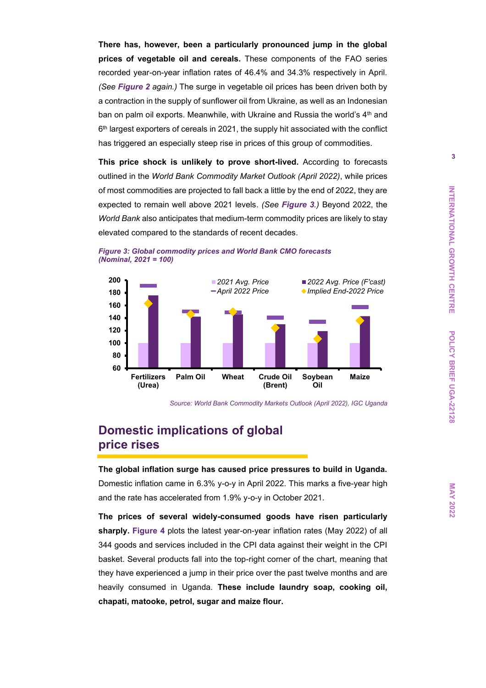**There has, however, been a particularly pronounced jump in the global prices of vegetable oil and cereals.** These components of the FAO series recorded year-on-year inflation rates of 46.4% and 34.3% respectively in April. *(See [Figure 2](#page-1-1) again.)* The surge in vegetable oil prices has been driven both by a contraction in the supply of sunflower oil from Ukraine, as well as an Indonesian ban on palm oil exports. Meanwhile, with Ukraine and Russia the world's 4<sup>th</sup> and 6 th largest exporters of cereals in 2021, the supply hit associated with the conflict has triggered an especially steep rise in prices of this group of commodities.

**This price shock is unlikely to prove short-lived.** According to forecasts outlined in the *World Bank Commodity Market Outlook (April 2022)*, while prices of most commodities are projected to fall back a little by the end of 2022, they are expected to remain well above 2021 levels. *(See [Figure 3](#page-2-0).)* Beyond 2022, the *World Bank* also anticipates that medium-term commodity prices are likely to stay elevated compared to the standards of recent decades.



<span id="page-2-0"></span>

## **Domestic implications of global price rises**

#### **The global inflation surge has caused price pressures to build in Uganda.**

Domestic inflation came in 6.3% y-o-y in April 2022. This marks a five-year high and the rate has accelerated from 1.9% y-o-y in October 2021.

**The prices of several widely-consumed goods have risen particularly sharply. [Figure 4](#page-3-0)** plots the latest year-on-year inflation rates (May 2022) of all 344 goods and services included in the CPI data against their weight in the CPI basket. Several products fall into the top-right corner of the chart, meaning that they have experienced a jump in their price over the past twelve months and are heavily consumed in Uganda. **These include laundry soap, cooking oil, chapati, matooke, petrol, sugar and maize flour.**

*Source: World Bank Commodity Markets Outlook (April 2022), IGC Uganda*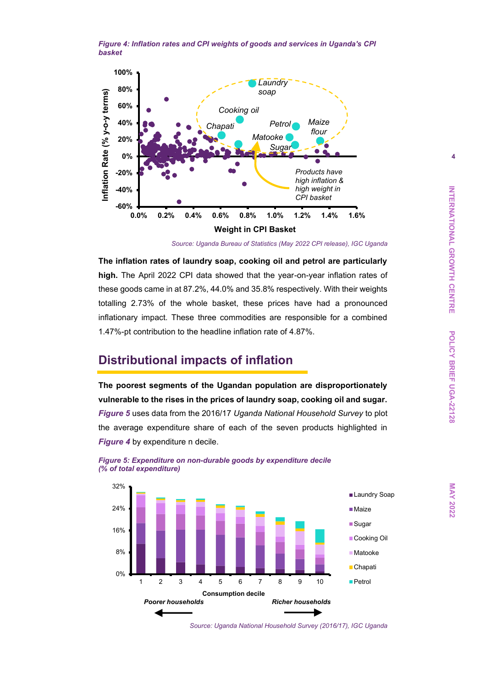<span id="page-3-0"></span>*Figure 4: Inflation rates and CPI weights of goods and services in Uganda's CPI basket*



*Source: Uganda Bureau of Statistics (May 2022 CPI release), IGC Uganda*

**The inflation rates of laundry soap, cooking oil and petrol are particularly high.** The April 2022 CPI data showed that the year-on-year inflation rates of these goods came in at 87.2%, 44.0% and 35.8% respectively. With their weights totalling 2.73% of the whole basket, these prices have had a pronounced inflationary impact. These three commodities are responsible for a combined 1.47%-pt contribution to the headline inflation rate of 4.87%.

## <span id="page-3-2"></span>**Distributional impacts of inflation**

**The poorest segments of the Ugandan population are disproportionately vulnerable to the rises in the prices of laundry soap, cooking oil and sugar.**  *[Figure](#page-3-1) 5* uses data from the 2016/17 *Uganda National Household Survey* to plot the average expenditure share of each of the seven products highlighted in **[Figure 4](#page-3-0)** by expenditure n decile.



<span id="page-3-1"></span>*Figure 5: Expenditure on non-durable goods by expenditure decile (% of total expenditure)*

*Source: Uganda National Household Survey (2016/17), IGC Uganda*

**MAY 2022**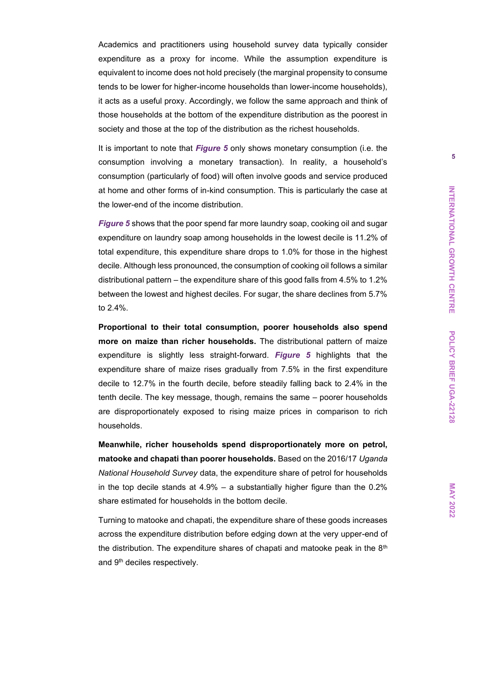Academics and practitioners using household survey data typically consider expenditure as a proxy for income. While the assumption expenditure is equivalent to income does not hold precisely (the marginal propensity to consume tends to be lower for higher-income households than lower-income households), it acts as a useful proxy. Accordingly, we follow the same approach and think of those households at the bottom of the expenditure distribution as the poorest in society and those at the top of the distribution as the richest households.

It is important to note that *[Figure 5](#page-3-1)* only shows monetary consumption (i.e. the consumption involving a monetary transaction). In reality, a household's consumption (particularly of food) will often involve goods and service produced at home and other forms of in-kind consumption. This is particularly the case at the lower-end of the income distribution.

*[Figure 5](#page-3-1)* shows that the poor spend far more laundry soap, cooking oil and sugar expenditure on laundry soap among households in the lowest decile is 11.2% of total expenditure, this expenditure share drops to 1.0% for those in the highest decile. Although less pronounced, the consumption of cooking oil follows a similar distributional pattern – the expenditure share of this good falls from 4.5% to 1.2% between the lowest and highest deciles. For sugar, the share declines from 5.7% to 2.4%.

**Proportional to their total consumption, poorer households also spend more on maize than richer households.** The distributional pattern of maize expenditure is slightly less straight-forward. *Figure 5* highlights that the expenditure share of maize rises gradually from 7.5% in the first expenditure decile to 12.7% in the fourth decile, before steadily falling back to 2.4% in the tenth decile. The key message, though, remains the same – poorer households are disproportionately exposed to rising maize prices in comparison to rich households.

**Meanwhile, richer households spend disproportionately more on petrol, matooke and chapati than poorer households.** Based on the 2016/17 *Uganda National Household Survey* data, the expenditure share of petrol for households in the top decile stands at 4.9% – a substantially higher figure than the 0.2% share estimated for households in the bottom decile.

Turning to matooke and chapati, the expenditure share of these goods increases across the expenditure distribution before edging down at the very upper-end of the distribution. The expenditure shares of chapati and matooke peak in the  $8<sup>th</sup>$ and 9<sup>th</sup> deciles respectively.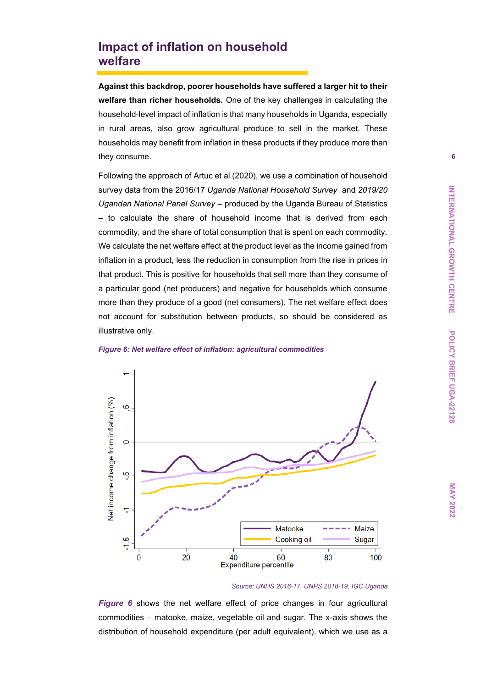## **Impact of inflation on household welfare**

**Against this backdrop, poorer households have suffered a larger hit to their welfare than richer households.** One of the key challenges in calculating the household-level impact of inflation is that many households in Uganda, especially in rural areas, also grow agricultural produce to sell in the market. These households may benefit from inflation in these products if they produce more than they consume.

Following the approach of Artuc et al (2020), we use a combination of household survey data from the 2016/17 *Uganda National Household Survey* and *2019/20 Ugandan National Panel Survey –* produced by the Uganda Bureau of Statistics – to calculate the share of household income that is derived from each commodity, and the share of total consumption that is spent on each commodity. We calculate the net welfare effect at the product level as the income gained from inflation in a product, less the reduction in consumption from the rise in prices in that product. This is positive for households that sell more than they consume of a particular good (net producers) and negative for households which consume more than they produce of a good (net consumers). The net welfare effect does not account for substitution between products, so should be considered as illustrative only.



<span id="page-5-0"></span>

#### *Source: UNHS 2016-17, UNPS 2018-19, IGC Uganda*

*[Figure 6](#page-5-0)* shows the net welfare effect of price changes in four agricultural commodities – matooke, maize, vegetable oil and sugar. The x-axis shows the distribution of household expenditure (per adult equivalent), which we use as a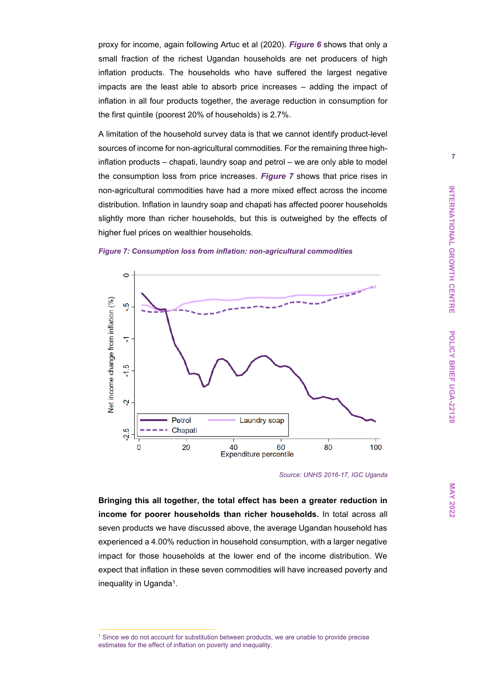proxy for income, again following Artuc et al (2020). *[Figure 6](#page-5-0)* shows that only a small fraction of the richest Ugandan households are net producers of high inflation products. The households who have suffered the largest negative impacts are the least able to absorb price increases – adding the impact of inflation in all four products together, the average reduction in consumption for the first quintile (poorest 20% of households) is 2.7%.

A limitation of the household survey data is that we cannot identify product-level sources of income for non-agricultural commodities. For the remaining three highinflation products – chapati, laundry soap and petrol – we are only able to model the consumption loss from price increases. *[Figure 7](#page-3-2)* shows that price rises in non-agricultural commodities have had a more mixed effect across the income distribution. Inflation in laundry soap and chapati has affected poorer households slightly more than richer households, but this is outweighed by the effects of higher fuel prices on wealthier households.





*Source: UNHS 2016-17, IGC Uganda*

**Bringing this all together, the total effect has been a greater reduction in income for poorer households than richer households.** In total across all seven products we have discussed above, the average Ugandan household has experienced a 4.00% reduction in household consumption, with a larger negative impact for those households at the lower end of the income distribution. We expect that inflation in these seven commodities will have increased poverty and inequality in Uganda<sup>1</sup>.

<sup>1</sup> Since we do not account for substitution between products, we are unable to provide precise estimates for the effect of inflation on poverty and inequality.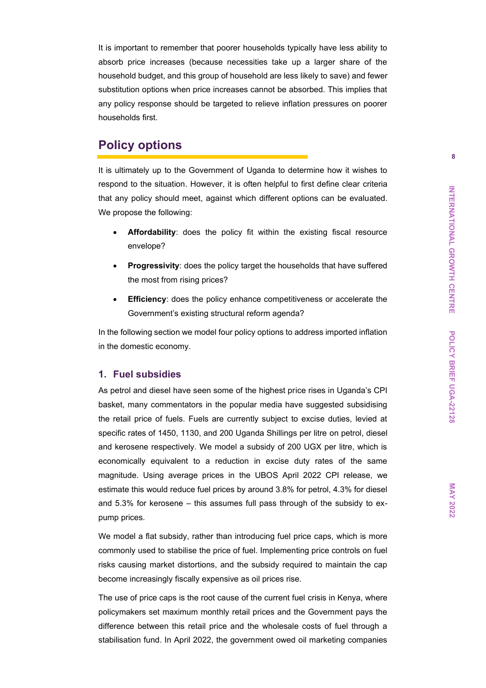It is important to remember that poorer households typically have less ability to absorb price increases (because necessities take up a larger share of the household budget, and this group of household are less likely to save) and fewer substitution options when price increases cannot be absorbed. This implies that any policy response should be targeted to relieve inflation pressures on poorer households first.

## **Policy options**

It is ultimately up to the Government of Uganda to determine how it wishes to respond to the situation. However, it is often helpful to first define clear criteria that any policy should meet, against which different options can be evaluated. We propose the following:

- **Affordability**: does the policy fit within the existing fiscal resource envelope?
- **Progressivity:** does the policy target the households that have suffered the most from rising prices?
- **Efficiency**: does the policy enhance competitiveness or accelerate the Government's existing structural reform agenda?

In the following section we model four policy options to address imported inflation in the domestic economy.

#### **1. Fuel subsidies**

As petrol and diesel have seen some of the highest price rises in Uganda's CPI basket, many commentators in the popular media have suggested subsidising the retail price of fuels. Fuels are currently subject to excise duties, levied at specific rates of 1450, 1130, and 200 Uganda Shillings per litre on petrol, diesel and kerosene respectively. We model a subsidy of 200 UGX per litre, which is economically equivalent to a reduction in excise duty rates of the same magnitude. Using average prices in the UBOS April 2022 CPI release, we estimate this would reduce fuel prices by around 3.8% for petrol, 4.3% for diesel and 5.3% for kerosene – this assumes full pass through of the subsidy to expump prices.

We model a flat subsidy, rather than introducing fuel price caps, which is more commonly used to stabilise the price of fuel. Implementing price controls on fuel risks causing market distortions, and the subsidy required to maintain the cap become increasingly fiscally expensive as oil prices rise.

The use of price caps is the root cause of the current fuel crisis in Kenya, where policymakers set maximum monthly retail prices and the Government pays the difference between this retail price and the wholesale costs of fuel through a stabilisation fund. In April 2022, the government owed oil marketing companies **MAY 2022**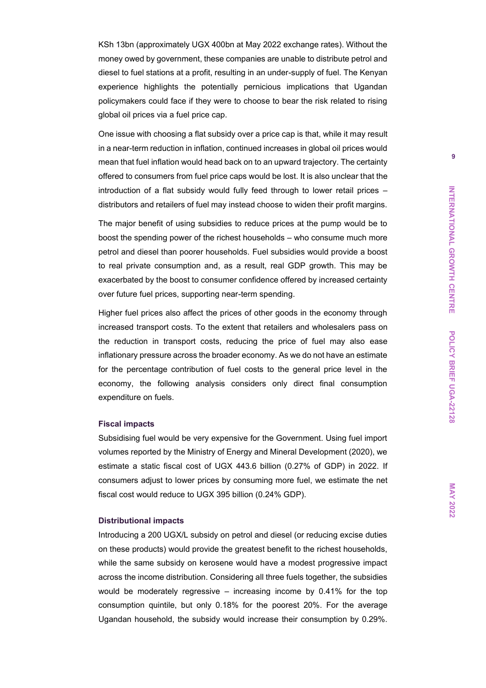KSh 13bn (approximately UGX 400bn at May 2022 exchange rates). Without the money owed by government, these companies are unable to distribute petrol and diesel to fuel stations at a profit, resulting in an under-supply of fuel. The Kenyan experience highlights the potentially pernicious implications that Ugandan policymakers could face if they were to choose to bear the risk related to rising global oil prices via a fuel price cap.

One issue with choosing a flat subsidy over a price cap is that, while it may result in a near-term reduction in inflation, continued increases in global oil prices would mean that fuel inflation would head back on to an upward trajectory. The certainty offered to consumers from fuel price caps would be lost. It is also unclear that the introduction of a flat subsidy would fully feed through to lower retail prices – distributors and retailers of fuel may instead choose to widen their profit margins.

The major benefit of using subsidies to reduce prices at the pump would be to boost the spending power of the richest households – who consume much more petrol and diesel than poorer households. Fuel subsidies would provide a boost to real private consumption and, as a result, real GDP growth. This may be exacerbated by the boost to consumer confidence offered by increased certainty over future fuel prices, supporting near-term spending.

Higher fuel prices also affect the prices of other goods in the economy through increased transport costs. To the extent that retailers and wholesalers pass on the reduction in transport costs, reducing the price of fuel may also ease inflationary pressure across the broader economy. As we do not have an estimate for the percentage contribution of fuel costs to the general price level in the economy, the following analysis considers only direct final consumption expenditure on fuels.

#### **Fiscal impacts**

Subsidising fuel would be very expensive for the Government. Using fuel import volumes reported by the Ministry of Energy and Mineral Development (2020), we estimate a static fiscal cost of UGX 443.6 billion (0.27% of GDP) in 2022. If consumers adjust to lower prices by consuming more fuel, we estimate the net fiscal cost would reduce to UGX 395 billion (0.24% GDP).

#### **Distributional impacts**

Introducing a 200 UGX/L subsidy on petrol and diesel (or reducing excise duties on these products) would provide the greatest benefit to the richest households, while the same subsidy on kerosene would have a modest progressive impact across the income distribution. Considering all three fuels together, the subsidies would be moderately regressive – increasing income by 0.41% for the top consumption quintile, but only 0.18% for the poorest 20%. For the average Ugandan household, the subsidy would increase their consumption by 0.29%.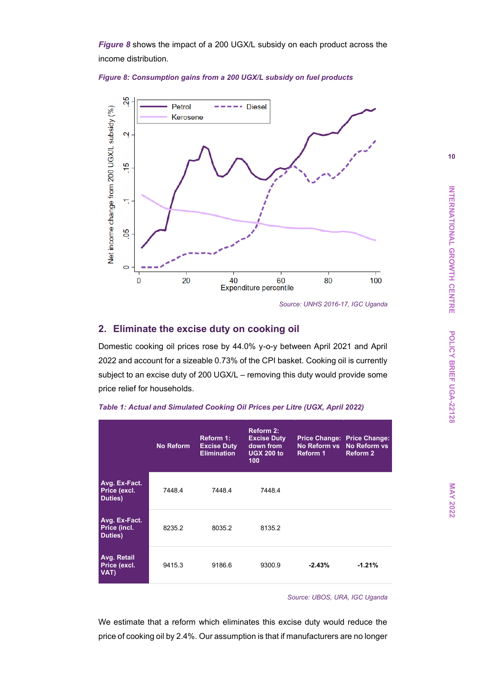*[Figure 8](#page-9-0)* shows the impact of a 200 UGX/L subsidy on each product across the income distribution.

#### <span id="page-9-0"></span>*Figure 8: Consumption gains from a 200 UGX/L subsidy on fuel products*



*Source: UNHS 2016-17, IGC Uganda*

#### **2. Eliminate the excise duty on cooking oil**

Domestic cooking oil prices rose by 44.0% y-o-y between April 2021 and April 2022 and account for a sizeable 0.73% of the CPI basket. Cooking oil is currently subject to an excise duty of 200 UGX/L – removing this duty would provide some price relief for households.

|                                          | <b>No Reform</b> | Reform 1:<br><b>Excise Duty</b><br><b>Elimination</b> | <b>Reform 2:</b><br><b>Excise Duty</b><br>down from<br><b>UGX 200 to</b><br>100 <sub>1</sub> | No Reform vs No Reform vs<br><b>Reform 1</b> | Price Change: Price Change:<br><b>Reform 2</b> |
|------------------------------------------|------------------|-------------------------------------------------------|----------------------------------------------------------------------------------------------|----------------------------------------------|------------------------------------------------|
| Avg. Ex-Fact.<br>Price (excl.<br>Duties) | 7448.4           | 74484                                                 | 74484                                                                                        |                                              |                                                |
| Avg. Ex-Fact.<br>Price (incl.<br>Duties) | 8235.2           | 8035.2                                                | 8135.2                                                                                       |                                              |                                                |
| Avg. Retail<br>Price (excl.<br>VAT)      | 9415.3           | 9186.6                                                | 9300.9                                                                                       | $-2.43%$                                     | $-1.21%$                                       |

<span id="page-9-1"></span>

| Table 1: Actual and Simulated Cooking Oil Prices per Litre (UGX, April 2022) |  |  |  |
|------------------------------------------------------------------------------|--|--|--|
|------------------------------------------------------------------------------|--|--|--|

*Source: UBOS, URA, IGC Uganda*

We estimate that a reform which eliminates this excise duty would reduce the price of cooking oil by 2.4%. Our assumption is that if manufacturers are no longer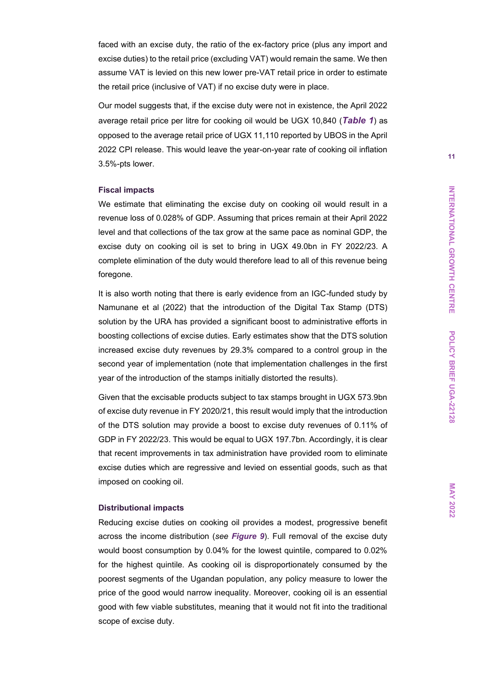faced with an excise duty, the ratio of the ex-factory price (plus any import and excise duties) to the retail price (excluding VAT) would remain the same. We then assume VAT is levied on this new lower pre-VAT retail price in order to estimate the retail price (inclusive of VAT) if no excise duty were in place.

Our model suggests that, if the excise duty were not in existence, the April 2022 average retail price per litre for cooking oil would be UGX 10,840 (*[Table 1](#page-9-1)*) as opposed to the average retail price of UGX 11,110 reported by UBOS in the April 2022 CPI release. This would leave the year-on-year rate of cooking oil inflation 3.5%-pts lower.

#### **Fiscal impacts**

We estimate that eliminating the excise duty on cooking oil would result in a revenue loss of 0.028% of GDP. Assuming that prices remain at their April 2022 level and that collections of the tax grow at the same pace as nominal GDP, the excise duty on cooking oil is set to bring in UGX 49.0bn in FY 2022/23. A complete elimination of the duty would therefore lead to all of this revenue being foregone.

It is also worth noting that there is early evidence from an IGC-funded study by Namunane et al (2022) that the introduction of the Digital Tax Stamp (DTS) solution by the URA has provided a significant boost to administrative efforts in boosting collections of excise duties. Early estimates show that the DTS solution increased excise duty revenues by 29.3% compared to a control group in the second year of implementation (note that implementation challenges in the first year of the introduction of the stamps initially distorted the results).

Given that the excisable products subject to tax stamps brought in UGX 573.9bn of excise duty revenue in FY 2020/21, this result would imply that the introduction of the DTS solution may provide a boost to excise duty revenues of 0.11% of GDP in FY 2022/23. This would be equal to UGX 197.7bn. Accordingly, it is clear that recent improvements in tax administration have provided room to eliminate excise duties which are regressive and levied on essential goods, such as that imposed on cooking oil.

#### **Distributional impacts**

Reducing excise duties on cooking oil provides a modest, progressive benefit across the income distribution (*see [Figure 9](#page-11-0)*). Full removal of the excise duty would boost consumption by 0.04% for the lowest quintile, compared to 0.02% for the highest quintile. As cooking oil is disproportionately consumed by the poorest segments of the Ugandan population, any policy measure to lower the price of the good would narrow inequality. Moreover, cooking oil is an essential good with few viable substitutes, meaning that it would not fit into the traditional scope of excise duty.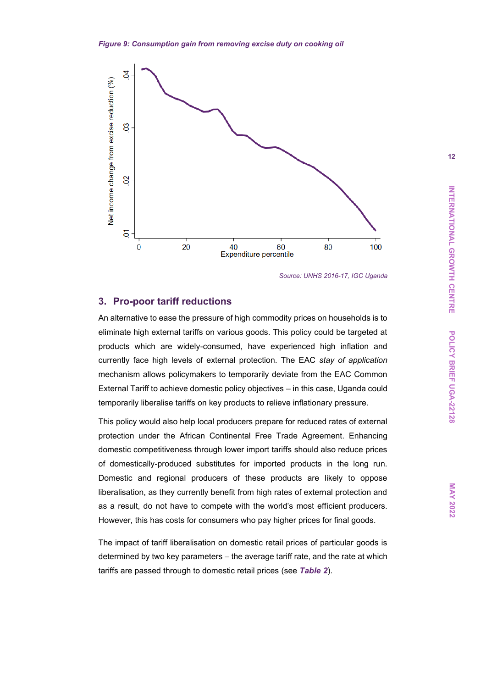<span id="page-11-0"></span>

*Source: UNHS 2016-17, IGC Uganda*

#### **3. Pro-poor tariff reductions**

An alternative to ease the pressure of high commodity prices on households is to eliminate high external tariffs on various goods. This policy could be targeted at products which are widely-consumed, have experienced high inflation and currently face high levels of external protection. The EAC *stay of application* mechanism allows policymakers to temporarily deviate from the EAC Common External Tariff to achieve domestic policy objectives – in this case, Uganda could temporarily liberalise tariffs on key products to relieve inflationary pressure.

This policy would also help local producers prepare for reduced rates of external protection under the African Continental Free Trade Agreement. Enhancing domestic competitiveness through lower import tariffs should also reduce prices of domestically-produced substitutes for imported products in the long run. Domestic and regional producers of these products are likely to oppose liberalisation, as they currently benefit from high rates of external protection and as a result, do not have to compete with the world's most efficient producers. However, this has costs for consumers who pay higher prices for final goods.

The impact of tariff liberalisation on domestic retail prices of particular goods is determined by two key parameters – the average tariff rate, and the rate at which tariffs are passed through to domestic retail prices (see *[Table 2](#page-12-0)*).

**MAY 2022**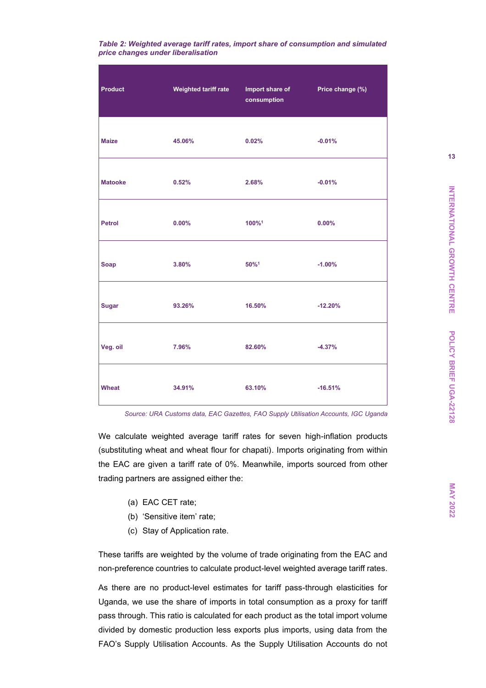<span id="page-12-0"></span>

| Table 2: Weighted average tariff rates, import share of consumption and simulated |  |  |
|-----------------------------------------------------------------------------------|--|--|
| price changes under liberalisation                                                |  |  |

| <b>Product</b> | Weighted tariff rate | Import share of <b>Sandware</b><br>consumption | Price change (%) |
|----------------|----------------------|------------------------------------------------|------------------|
| <b>Maize</b>   | 45.06%               | 0.02%                                          | $-0.01%$         |
| <b>Matooke</b> | 0.52%                | 2.68%                                          | $-0.01%$         |
| Petrol         | $0.00\%$             | 100%1                                          | $0.00\%$         |
| <b>Soap</b>    | 3.80%                | 50%1                                           | $-1.00%$         |
| <b>Sugar</b>   | 93.26%               | 16.50%                                         | $-12.20%$        |
| Veg. oil       | 7.96%                | 82.60%                                         | $-4.37%$         |
| Wheat          | 34.91%               | 63.10%                                         | $-16.51%$        |

*Source: URA Customs data, EAC Gazettes, FAO Supply Utilisation Accounts, IGC Uganda*

We calculate weighted average tariff rates for seven high-inflation products (substituting wheat and wheat flour for chapati). Imports originating from within the EAC are given a tariff rate of 0%. Meanwhile, imports sourced from other trading partners are assigned either the:

- (a) EAC CET rate;
- (b) 'Sensitive item' rate;
- (c) Stay of Application rate.

These tariffs are weighted by the volume of trade originating from the EAC and non-preference countries to calculate product-level weighted average tariff rates.

As there are no product-level estimates for tariff pass-through elasticities for Uganda, we use the share of imports in total consumption as a proxy for tariff pass through. This ratio is calculated for each product as the total import volume divided by domestic production less exports plus imports, using data from the FAO's Supply Utilisation Accounts. As the Supply Utilisation Accounts do not **MAY 2022**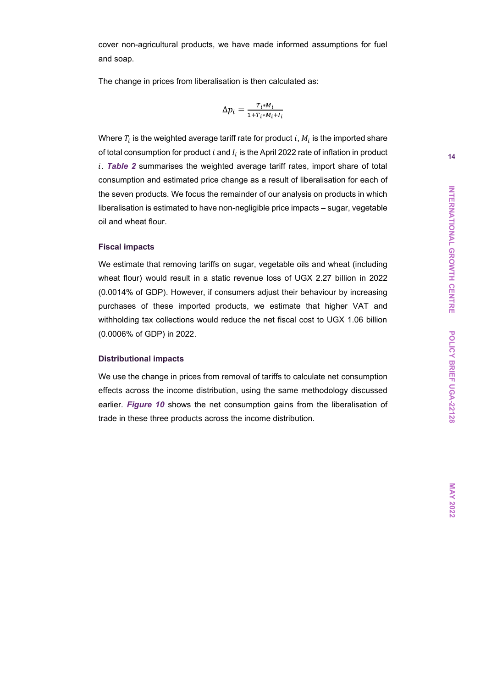cover non-agricultural products, we have made informed assumptions for fuel and soap.

The change in prices from liberalisation is then calculated as:

$$
\Delta p_i = \frac{T_i * M_i}{1 + T_i * M_i + I_i}
$$

Where  $T_i$  is the weighted average tariff rate for product  $i$ ,  $M_i$  is the imported share of total consumption for product  $i$  and  $I_i$  is the April 2022 rate of inflation in product . *[Table 2](#page-12-0)* summarises the weighted average tariff rates, import share of total consumption and estimated price change as a result of liberalisation for each of the seven products. We focus the remainder of our analysis on products in which liberalisation is estimated to have non-negligible price impacts – sugar, vegetable oil and wheat flour.

#### **Fiscal impacts**

We estimate that removing tariffs on sugar, vegetable oils and wheat (including wheat flour) would result in a static revenue loss of UGX 2.27 billion in 2022 (0.0014% of GDP). However, if consumers adjust their behaviour by increasing purchases of these imported products, we estimate that higher VAT and withholding tax collections would reduce the net fiscal cost to UGX 1.06 billion (0.0006% of GDP) in 2022.

#### **Distributional impacts**

We use the change in prices from removal of tariffs to calculate net consumption effects across the income distribution, using the same methodology discussed earlier. *[Figure 10](#page-14-0)* shows the net consumption gains from the liberalisation of trade in these three products across the income distribution.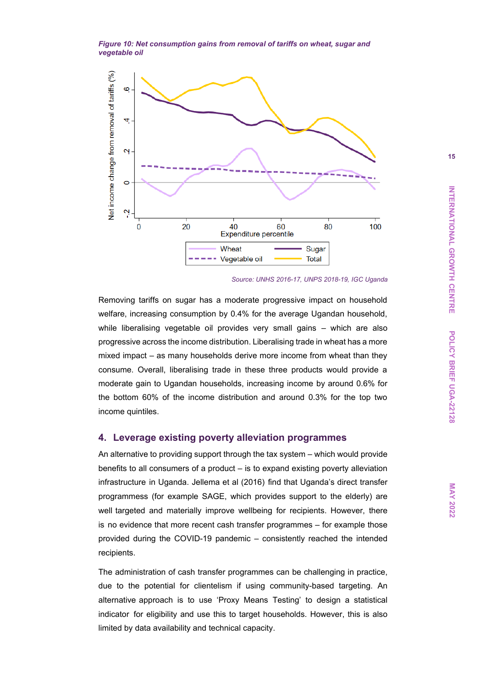<span id="page-14-0"></span>*Figure 10: Net consumption gains from removal of tariffs on wheat, sugar and vegetable oil*



*Source: UNHS 2016-17, UNPS 2018-19, IGC Uganda*

Removing tariffs on sugar has a moderate progressive impact on household welfare, increasing consumption by 0.4% for the average Ugandan household, while liberalising vegetable oil provides very small gains – which are also progressive across the income distribution. Liberalising trade in wheat has a more mixed impact – as many households derive more income from wheat than they consume. Overall, liberalising trade in these three products would provide a moderate gain to Ugandan households, increasing income by around 0.6% for the bottom 60% of the income distribution and around 0.3% for the top two income quintiles.

#### **4. Leverage existing poverty alleviation programmes**

An alternative to providing support through the tax system – which would provide benefits to all consumers of a product – is to expand existing poverty alleviation infrastructure in Uganda. Jellema et al (2016) find that Uganda's direct transfer programmess (for example SAGE, which provides support to the elderly) are well targeted and materially improve wellbeing for recipients. However, there is no evidence that more recent cash transfer programmes – for example those provided during the COVID-19 pandemic – consistently reached the intended recipients.

The administration of cash transfer programmes can be challenging in practice, due to the potential for clientelism if using community-based targeting. An alternative approach is to use 'Proxy Means Testing' to design a statistical indicator for eligibility and use this to target households. However, this is also limited by data availability and technical capacity.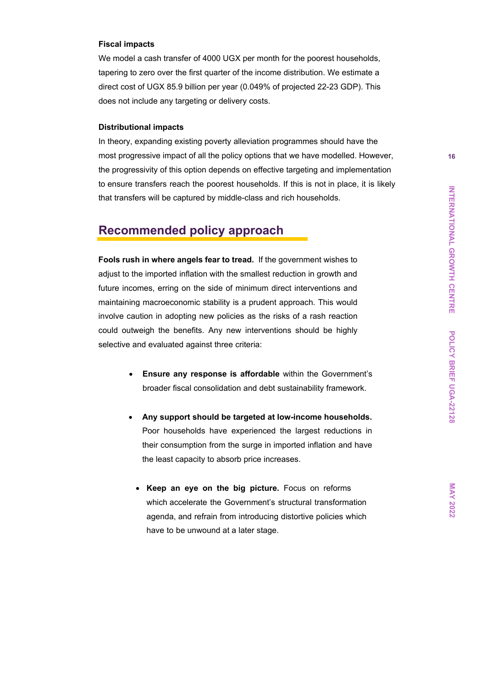#### **Fiscal impacts**

We model a cash transfer of 4000 UGX per month for the poorest households, tapering to zero over the first quarter of the income distribution. We estimate a direct cost of UGX 85.9 billion per year (0.049% of projected 22-23 GDP). This does not include any targeting or delivery costs.

#### **Distributional impacts**

In theory, expanding existing poverty alleviation programmes should have the most progressive impact of all the policy options that we have modelled. However, the progressivity of this option depends on effective targeting and implementation to ensure transfers reach the poorest households. If this is not in place, it is likely that transfers will be captured by middle-class and rich households.

## **Recommended policy approach**

**Fools rush in where angels fear to tread.** If the government wishes to adjust to the imported inflation with the smallest reduction in growth and future incomes, erring on the side of minimum direct interventions and maintaining macroeconomic stability is a prudent approach. This would involve caution in adopting new policies as the risks of a rash reaction could outweigh the benefits. Any new interventions should be highly selective and evaluated against three criteria:

- **Ensure any response is affordable** within the Government's broader fiscal consolidation and debt sustainability framework.
- **Any support should be targeted at low-income households.** Poor households have experienced the largest reductions in their consumption from the surge in imported inflation and have the least capacity to absorb price increases.
	- **Keep an eye on the big picture.** Focus on reforms which accelerate the Government's structural transformation agenda, and refrain from introducing distortive policies which have to be unwound at a later stage.

**MAY 2022**